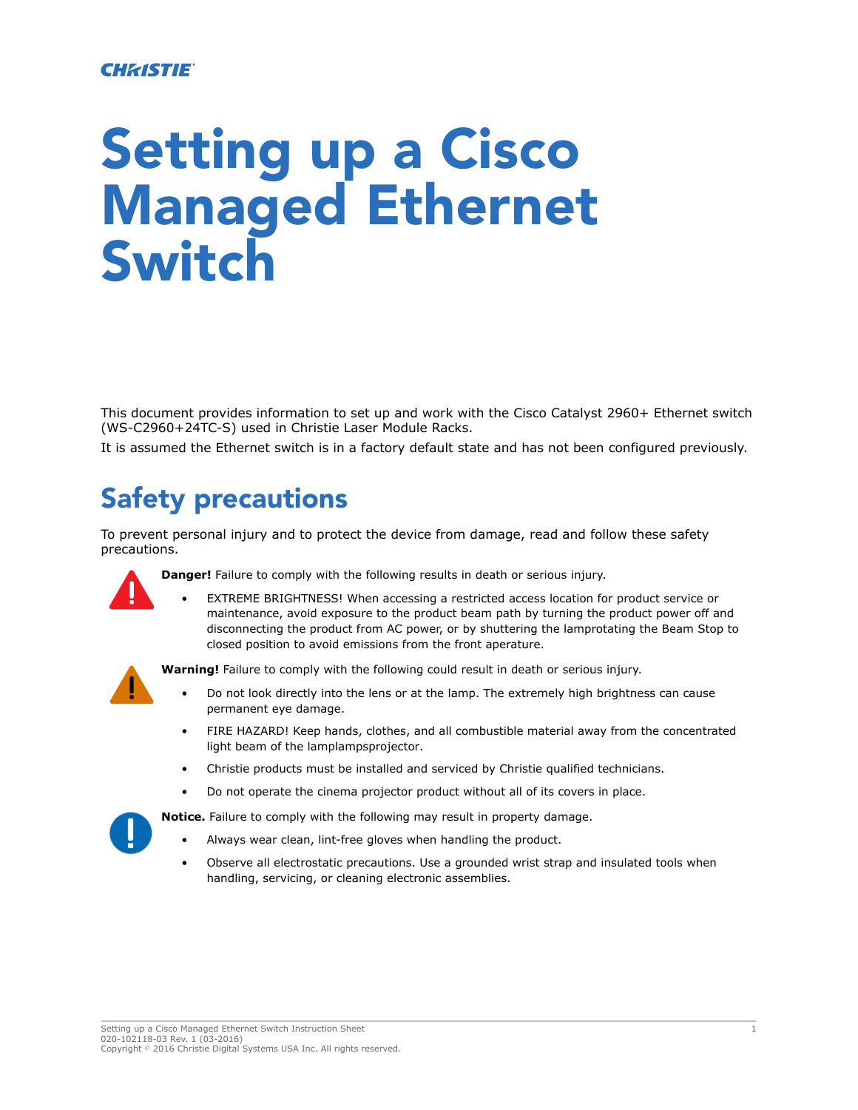#### **CHRISTIE**

# Setting up a Cisco Managed Ethernet Switch

This document provides information to set up and work with the Cisco Catalyst 2960+ Ethernet switch (WS-C2960+24TC-S) used in Christie Laser Module Racks.

It is assumed the Ethernet switch is in a factory default state and has not been configured previously.

## Safety precautions

To prevent personal injury and to protect the device from damage, read and follow these safety precautions.



**Danger!** Failure to comply with the following results in death or serious injury.

EXTREME BRIGHTNESS! When accessing a restricted access location for product service or maintenance, avoid exposure to the product beam path by turning the product power off and disconnecting the product from AC power, or by shuttering the lamprotating the Beam Stop to closed position to avoid emissions from the front aperature.

**Warning!** Failure to comply with the following could result in death or serious injury.

- Do not look directly into the lens or at the lamp. The extremely high brightness can cause permanent eye damage.
- FIRE HAZARD! Keep hands, clothes, and all combustible material away from the concentrated light beam of the lamplampsprojector.
- Christie products must be installed and serviced by Christie qualified technicians.
- Do not operate the cinema projector product without all of its covers in place.

**Notice.** Failure to comply with the following may result in property damage.

- Always wear clean, lint-free gloves when handling the product.
- Observe all electrostatic precautions. Use a grounded wrist strap and insulated tools when handling, servicing, or cleaning electronic assemblies.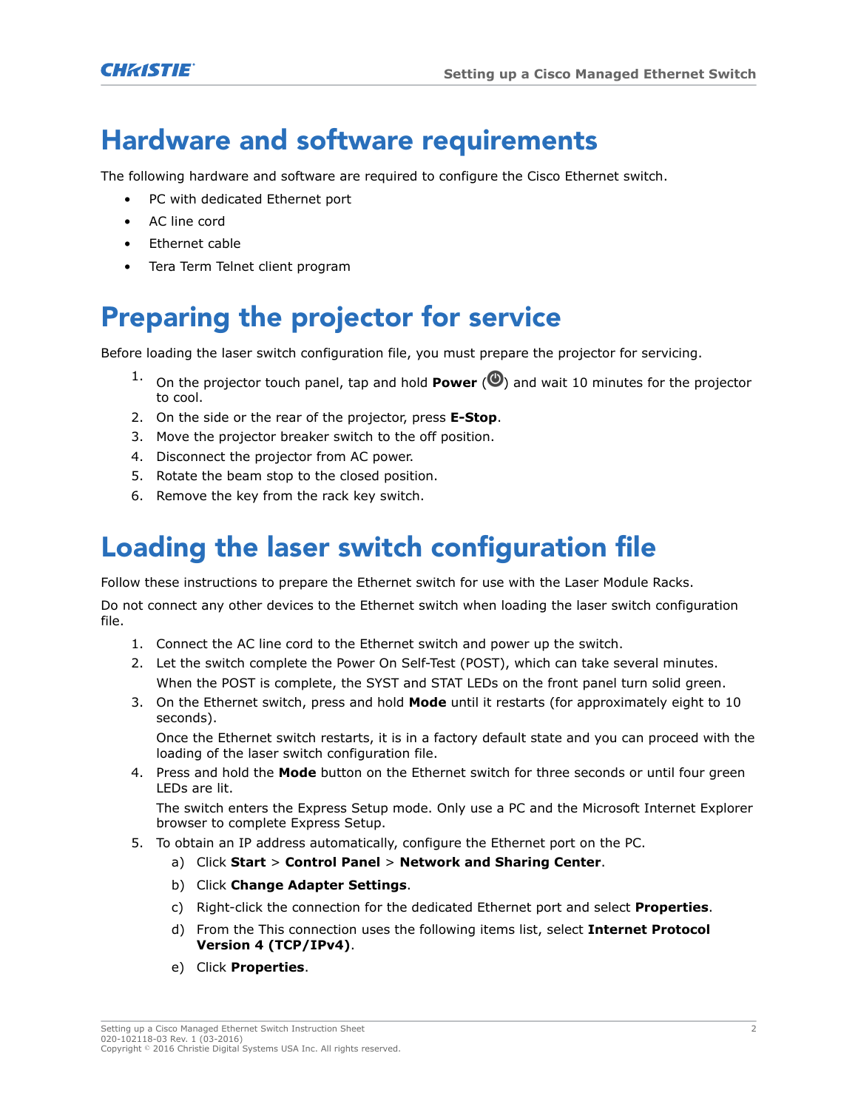## Hardware and software requirements

The following hardware and software are required to configure the Cisco Ethernet switch.

- PC with dedicated Ethernet port
- AC line cord
- Ethernet cable
- Tera Term Telnet client program

# Preparing the projector for service

Before loading the laser switch configuration file, you must prepare the projector for servicing.

- On the projector touch panel, tap and hold **Power**  $(\bullet)$  and wait 10 minutes for the projector to cool.
- 2. On the side or the rear of the projector, press **E-Stop**.
- 3. Move the projector breaker switch to the off position.
- 4. Disconnect the projector from AC power.
- 5. Rotate the beam stop to the closed position.
- 6. Remove the key from the rack key switch.

#### Loading the laser switch configuration file

Follow these instructions to prepare the Ethernet switch for use with the Laser Module Racks.

Do not connect any other devices to the Ethernet switch when loading the laser switch configuration file.

- 1. Connect the AC line cord to the Ethernet switch and power up the switch.
- 2. Let the switch complete the Power On Self-Test (POST), which can take several minutes. When the POST is complete, the SYST and STAT LEDs on the front panel turn solid green.
- 3. On the Ethernet switch, press and hold **Mode** until it restarts (for approximately eight to 10 seconds).

Once the Ethernet switch restarts, it is in a factory default state and you can proceed with the loading of the laser switch configuration file.

4. Press and hold the **Mode** button on the Ethernet switch for three seconds or until four green LEDs are lit.

The switch enters the Express Setup mode. Only use a PC and the Microsoft Internet Explorer browser to complete Express Setup.

- 5. To obtain an IP address automatically, configure the Ethernet port on the PC.
	- a) Click **Start** > **Control Panel** > **Network and Sharing Center**.
	- b) Click **Change Adapter Settings**.
	- c) Right-click the connection for the dedicated Ethernet port and select **Properties**.
	- d) From the This connection uses the following items list, select **Internet Protocol Version 4 (TCP/IPv4)**.
	- e) Click **Properties**.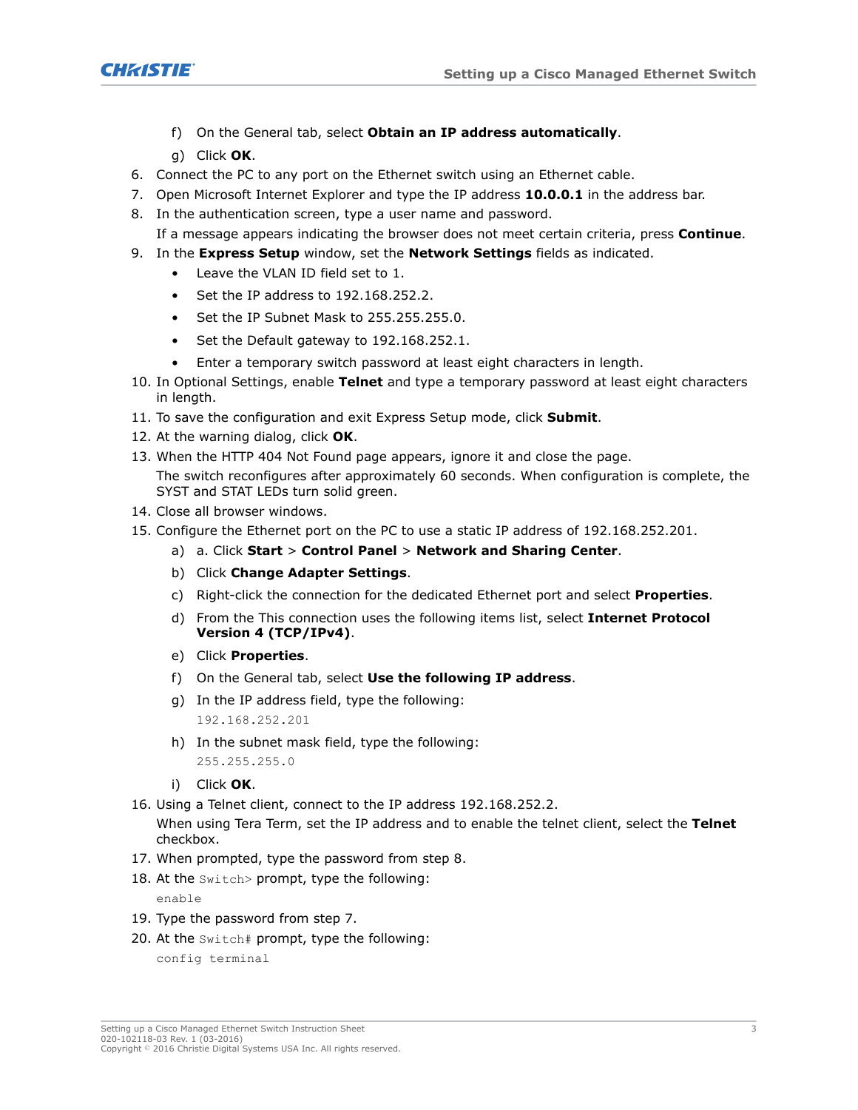**CHRISTIE®** 

- f) On the General tab, select **Obtain an IP address automatically**.
- g) Click **OK**.
- 6. Connect the PC to any port on the Ethernet switch using an Ethernet cable.
- 7. Open Microsoft Internet Explorer and type the IP address **10.0.0.1** in the address bar.
- 8. In the authentication screen, type a user name and password.
	- If a message appears indicating the browser does not meet certain criteria, press **Continue**.
- 9. In the **Express Setup** window, set the **Network Settings** fields as indicated.
	- Leave the VLAN ID field set to 1.
	- Set the IP address to 192.168.252.2.
	- Set the IP Subnet Mask to 255.255.255.0.
	- Set the Default gateway to 192.168.252.1.
	- Enter a temporary switch password at least eight characters in length.
- 10. In Optional Settings, enable **Telnet** and type a temporary password at least eight characters in length.
- 11. To save the configuration and exit Express Setup mode, click **Submit**.
- 12. At the warning dialog, click **OK**.
- 13. When the HTTP 404 Not Found page appears, ignore it and close the page. The switch reconfigures after approximately 60 seconds. When configuration is complete, the SYST and STAT LEDs turn solid green.
- 14. Close all browser windows.
- 15. Configure the Ethernet port on the PC to use a static IP address of 192.168.252.201.
	- a) a. Click **Start** > **Control Panel** > **Network and Sharing Center**.
	- b) Click **Change Adapter Settings**.
	- c) Right-click the connection for the dedicated Ethernet port and select **Properties**.
	- d) From the This connection uses the following items list, select **Internet Protocol Version 4 (TCP/IPv4)**.
	- e) Click **Properties**.
	- f) On the General tab, select **Use the following IP address**.
	- g) In the IP address field, type the following: 192.168.252.201
	- h) In the subnet mask field, type the following: 255.255.255.0
	- i) Click **OK**.
- 16. Using a Telnet client, connect to the IP address 192.168.252.2.

When using Tera Term, set the IP address and to enable the telnet client, select the **Telnet** checkbox.

- 17. When prompted, type the password from step 8.
- 18. At the Switch> prompt, type the following:

enable

- 19. Type the password from step 7.
- 20. At the Switch# prompt, type the following:

config terminal